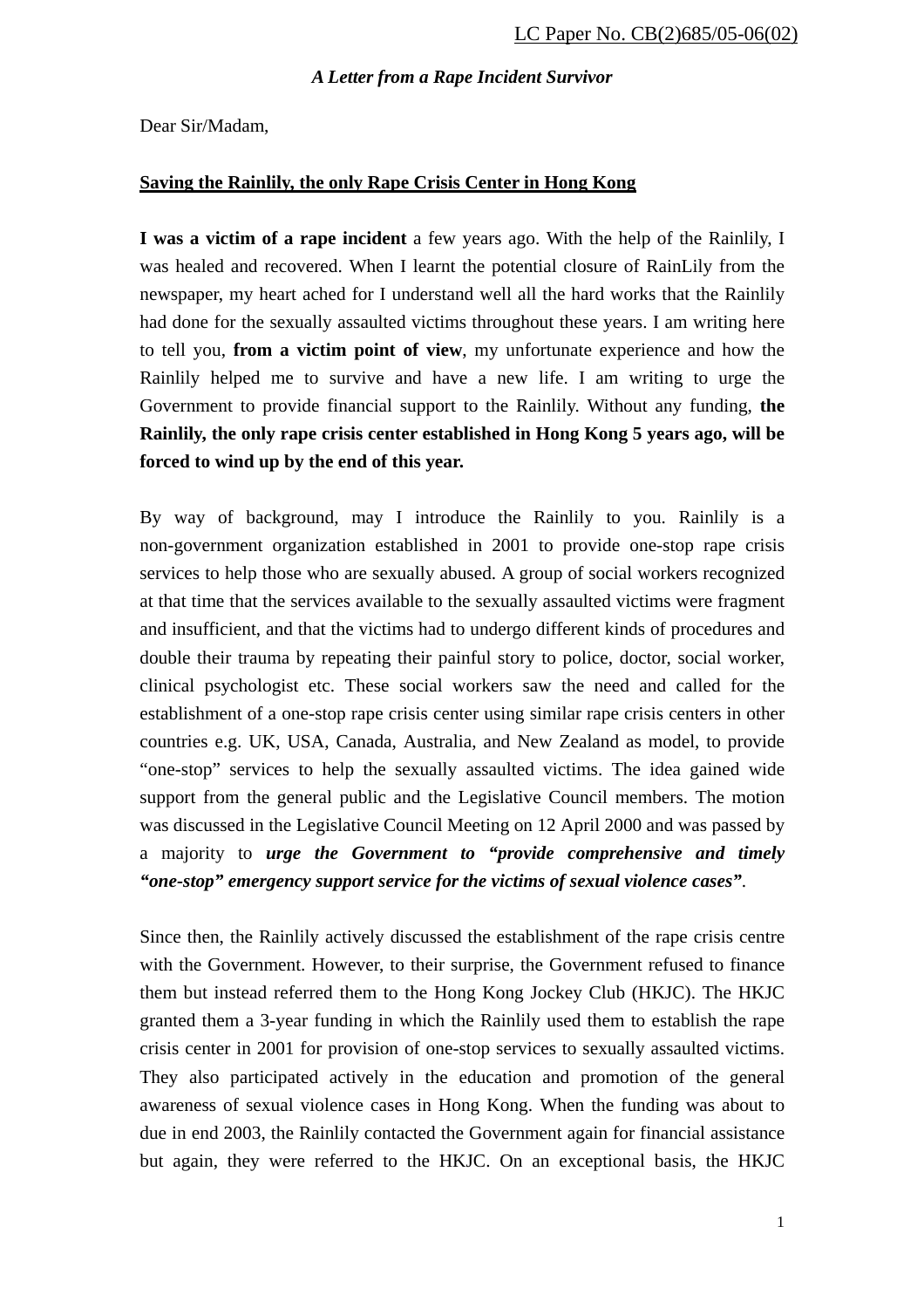Dear Sir/Madam,

# **Saving the Rainlily, the only Rape Crisis Center in Hong Kong**

**I was a victim of a rape incident** a few years ago. With the help of the Rainlily, I was healed and recovered. When I learnt the potential closure of RainLily from the newspaper, my heart ached for I understand well all the hard works that the Rainlily had done for the sexually assaulted victims throughout these years. I am writing here to tell you, **from a victim point of view**, my unfortunate experience and how the Rainlily helped me to survive and have a new life. I am writing to urge the Government to provide financial support to the Rainlily. Without any funding, **the Rainlily, the only rape crisis center established in Hong Kong 5 years ago, will be forced to wind up by the end of this year.** 

By way of background, may I introduce the Rainlily to you. Rainlily is a non-government organization established in 2001 to provide one-stop rape crisis services to help those who are sexually abused. A group of social workers recognized at that time that the services available to the sexually assaulted victims were fragment and insufficient, and that the victims had to undergo different kinds of procedures and double their trauma by repeating their painful story to police, doctor, social worker, clinical psychologist etc. These social workers saw the need and called for the establishment of a one-stop rape crisis center using similar rape crisis centers in other countries e.g. UK, USA, Canada, Australia, and New Zealand as model, to provide "one-stop" services to help the sexually assaulted victims. The idea gained wide support from the general public and the Legislative Council members. The motion was discussed in the Legislative Council Meeting on 12 April 2000 and was passed by a majority to *urge the Government to "provide comprehensive and timely "one-stop" emergency support service for the victims of sexual violence cases"*.

Since then, the Rainlily actively discussed the establishment of the rape crisis centre with the Government. However, to their surprise, the Government refused to finance them but instead referred them to the Hong Kong Jockey Club (HKJC). The HKJC granted them a 3-year funding in which the Rainlily used them to establish the rape crisis center in 2001 for provision of one-stop services to sexually assaulted victims. They also participated actively in the education and promotion of the general awareness of sexual violence cases in Hong Kong. When the funding was about to due in end 2003, the Rainlily contacted the Government again for financial assistance but again, they were referred to the HKJC. On an exceptional basis, the HKJC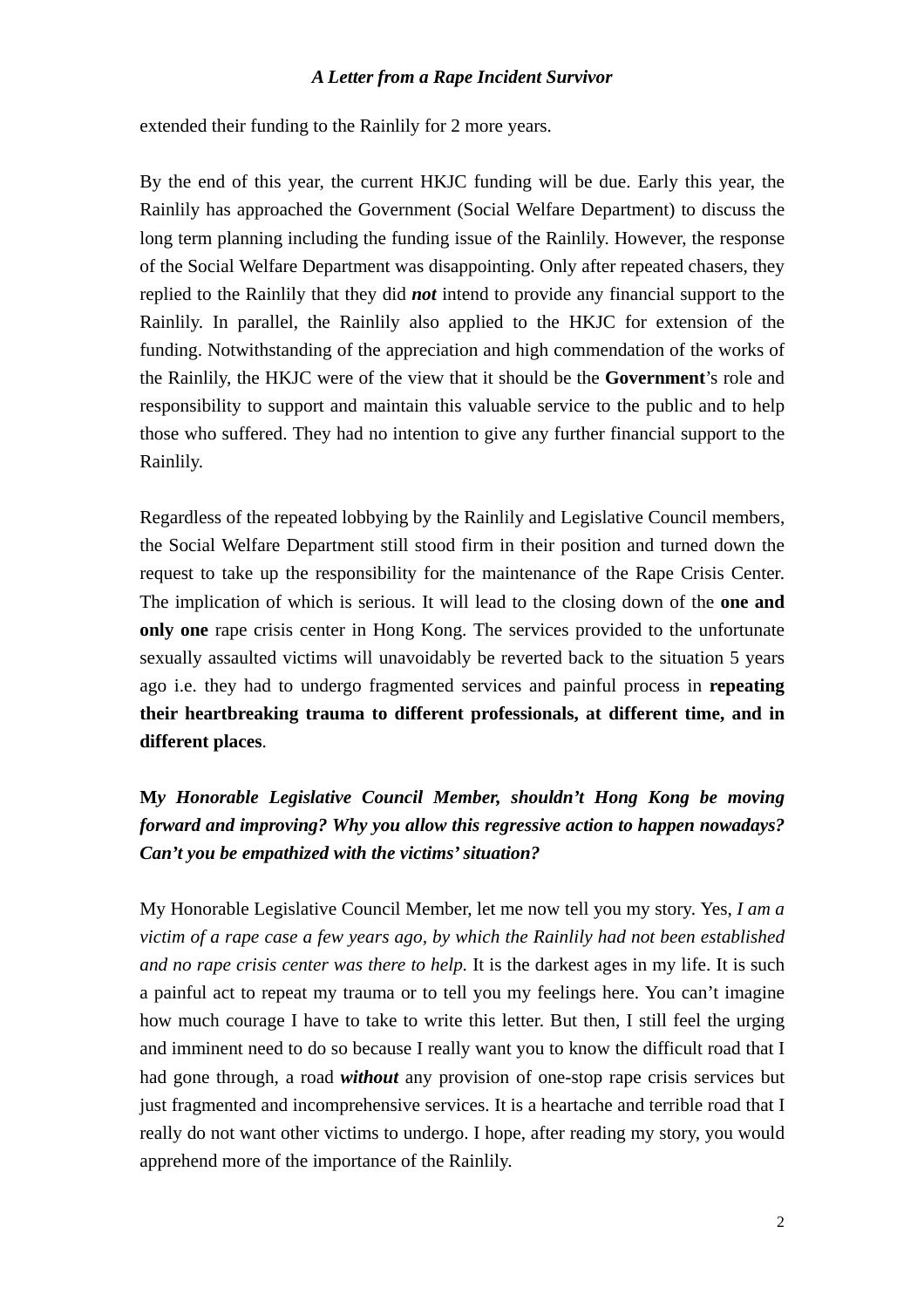extended their funding to the Rainlily for 2 more years.

By the end of this year, the current HKJC funding will be due. Early this year, the Rainlily has approached the Government (Social Welfare Department) to discuss the long term planning including the funding issue of the Rainlily. However, the response of the Social Welfare Department was disappointing. Only after repeated chasers, they replied to the Rainlily that they did *not* intend to provide any financial support to the Rainlily. In parallel, the Rainlily also applied to the HKJC for extension of the funding. Notwithstanding of the appreciation and high commendation of the works of the Rainlily, the HKJC were of the view that it should be the **Government**'s role and responsibility to support and maintain this valuable service to the public and to help those who suffered. They had no intention to give any further financial support to the Rainlily.

Regardless of the repeated lobbying by the Rainlily and Legislative Council members, the Social Welfare Department still stood firm in their position and turned down the request to take up the responsibility for the maintenance of the Rape Crisis Center. The implication of which is serious. It will lead to the closing down of the **one and only one** rape crisis center in Hong Kong. The services provided to the unfortunate sexually assaulted victims will unavoidably be reverted back to the situation 5 years ago i.e. they had to undergo fragmented services and painful process in **repeating their heartbreaking trauma to different professionals, at different time, and in different places**.

**M***y Honorable Legislative Council Member, shouldn't Hong Kong be moving forward and improving? Why you allow this regressive action to happen nowadays? Can't you be empathized with the victims' situation?* 

My Honorable Legislative Council Member, let me now tell you my story. Yes, *I am a victim of a rape case a few years ago, by which the Rainlily had not been established and no rape crisis center was there to help.* It is the darkest ages in my life. It is such a painful act to repeat my trauma or to tell you my feelings here. You can't imagine how much courage I have to take to write this letter. But then, I still feel the urging and imminent need to do so because I really want you to know the difficult road that I had gone through, a road *without* any provision of one-stop rape crisis services but just fragmented and incomprehensive services. It is a heartache and terrible road that I really do not want other victims to undergo. I hope, after reading my story, you would apprehend more of the importance of the Rainlily.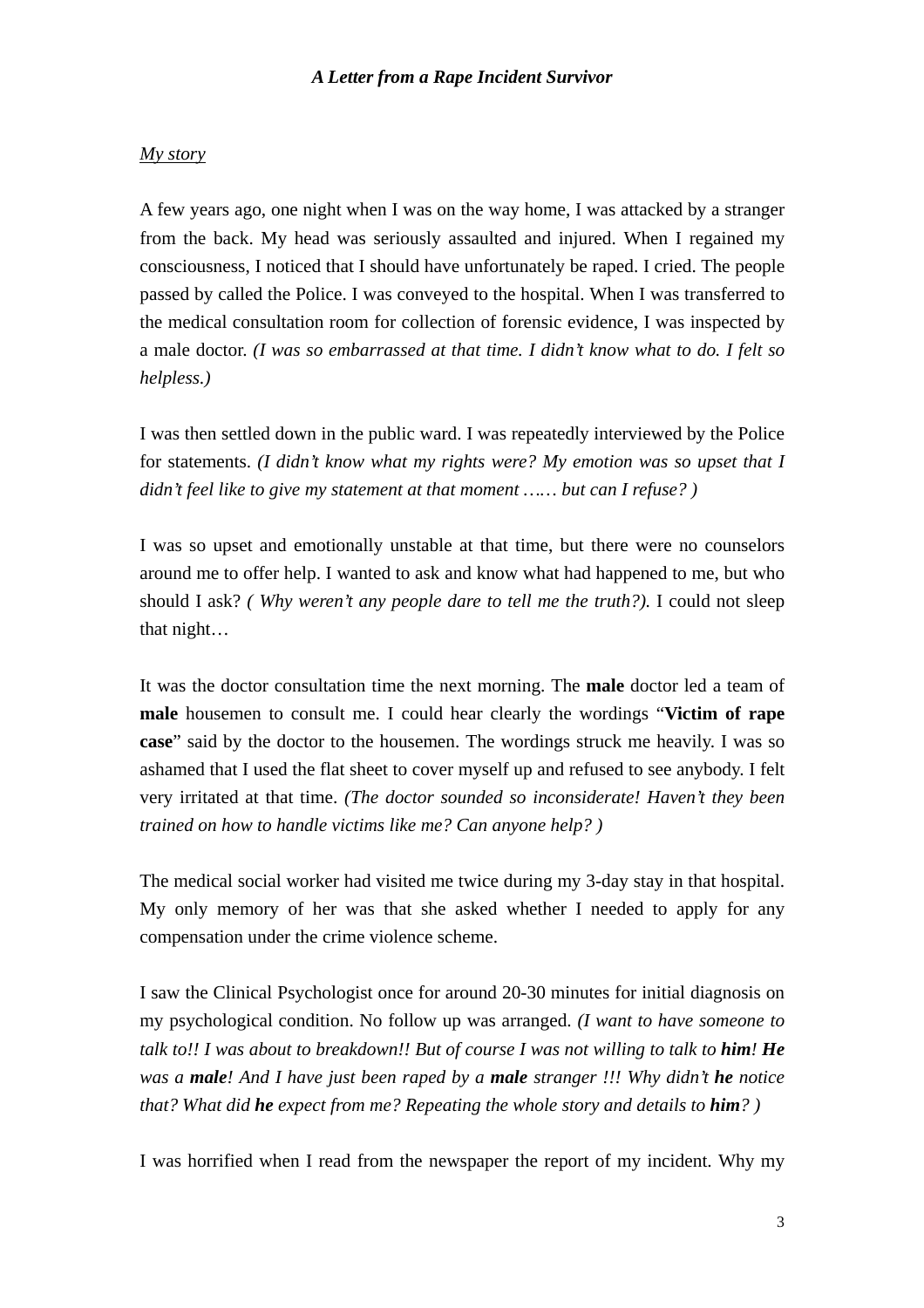### *My story*

A few years ago, one night when I was on the way home, I was attacked by a stranger from the back. My head was seriously assaulted and injured. When I regained my consciousness, I noticed that I should have unfortunately be raped. I cried. The people passed by called the Police. I was conveyed to the hospital. When I was transferred to the medical consultation room for collection of forensic evidence, I was inspected by a male doctor. *(I was so embarrassed at that time. I didn't know what to do. I felt so helpless.)* 

I was then settled down in the public ward. I was repeatedly interviewed by the Police for statements. *(I didn't know what my rights were? My emotion was so upset that I didn't feel like to give my statement at that moment …… but can I refuse? )* 

I was so upset and emotionally unstable at that time, but there were no counselors around me to offer help. I wanted to ask and know what had happened to me, but who should I ask? *( Why weren't any people dare to tell me the truth?).* I could not sleep that night…

It was the doctor consultation time the next morning. The **male** doctor led a team of **male** housemen to consult me. I could hear clearly the wordings "**Victim of rape case**" said by the doctor to the housemen. The wordings struck me heavily. I was so ashamed that I used the flat sheet to cover myself up and refused to see anybody. I felt very irritated at that time. *(The doctor sounded so inconsiderate! Haven't they been trained on how to handle victims like me? Can anyone help? )* 

The medical social worker had visited me twice during my 3-day stay in that hospital. My only memory of her was that she asked whether I needed to apply for any compensation under the crime violence scheme.

I saw the Clinical Psychologist once for around 20-30 minutes for initial diagnosis on my psychological condition. No follow up was arranged. *(I want to have someone to talk to!! I was about to breakdown!! But of course I was not willing to talk to him! He was a male! And I have just been raped by a male stranger !!! Why didn't he notice that? What did he expect from me? Repeating the whole story and details to him? )* 

I was horrified when I read from the newspaper the report of my incident. Why my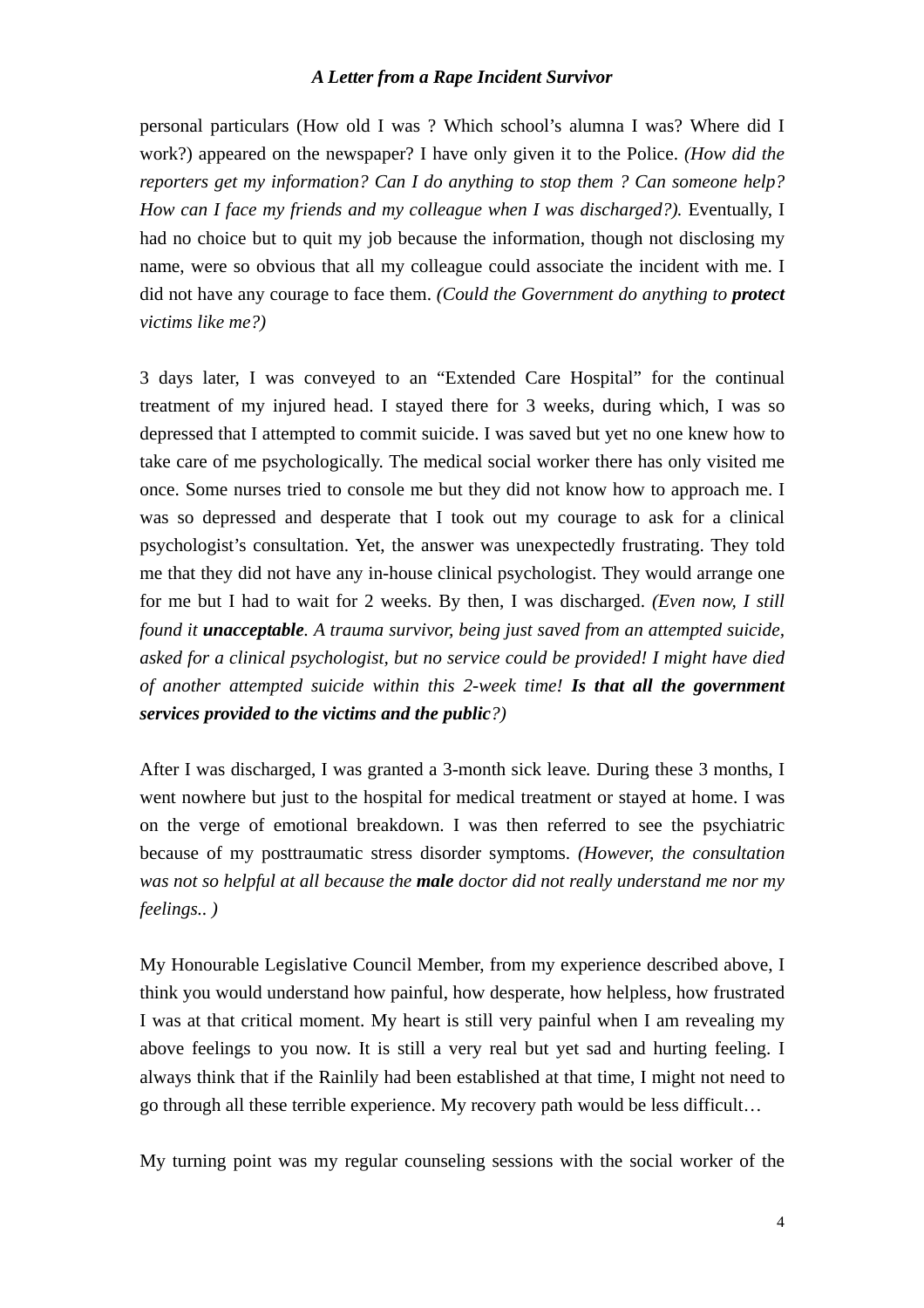personal particulars (How old I was ? Which school's alumna I was? Where did I work?) appeared on the newspaper? I have only given it to the Police. *(How did the reporters get my information? Can I do anything to stop them ? Can someone help? How can I face my friends and my colleague when I was discharged?).* Eventually, I had no choice but to quit my job because the information, though not disclosing my name, were so obvious that all my colleague could associate the incident with me. I did not have any courage to face them. *(Could the Government do anything to protect victims like me?)* 

3 days later, I was conveyed to an "Extended Care Hospital" for the continual treatment of my injured head. I stayed there for 3 weeks, during which, I was so depressed that I attempted to commit suicide. I was saved but yet no one knew how to take care of me psychologically. The medical social worker there has only visited me once. Some nurses tried to console me but they did not know how to approach me. I was so depressed and desperate that I took out my courage to ask for a clinical psychologist's consultation. Yet, the answer was unexpectedly frustrating. They told me that they did not have any in-house clinical psychologist. They would arrange one for me but I had to wait for 2 weeks. By then, I was discharged. *(Even now, I still found it unacceptable. A trauma survivor, being just saved from an attempted suicide, asked for a clinical psychologist, but no service could be provided! I might have died of another attempted suicide within this 2-week time! Is that all the government services provided to the victims and the public?)* 

After I was discharged, I was granted a 3-month sick leave*.* During these 3 months, I went nowhere but just to the hospital for medical treatment or stayed at home. I was on the verge of emotional breakdown. I was then referred to see the psychiatric because of my posttraumatic stress disorder symptoms. *(However, the consultation was not so helpful at all because the male doctor did not really understand me nor my feelings.. )* 

My Honourable Legislative Council Member, from my experience described above, I think you would understand how painful, how desperate, how helpless, how frustrated I was at that critical moment. My heart is still very painful when I am revealing my above feelings to you now. It is still a very real but yet sad and hurting feeling. I always think that if the Rainlily had been established at that time, I might not need to go through all these terrible experience. My recovery path would be less difficult…

My turning point was my regular counseling sessions with the social worker of the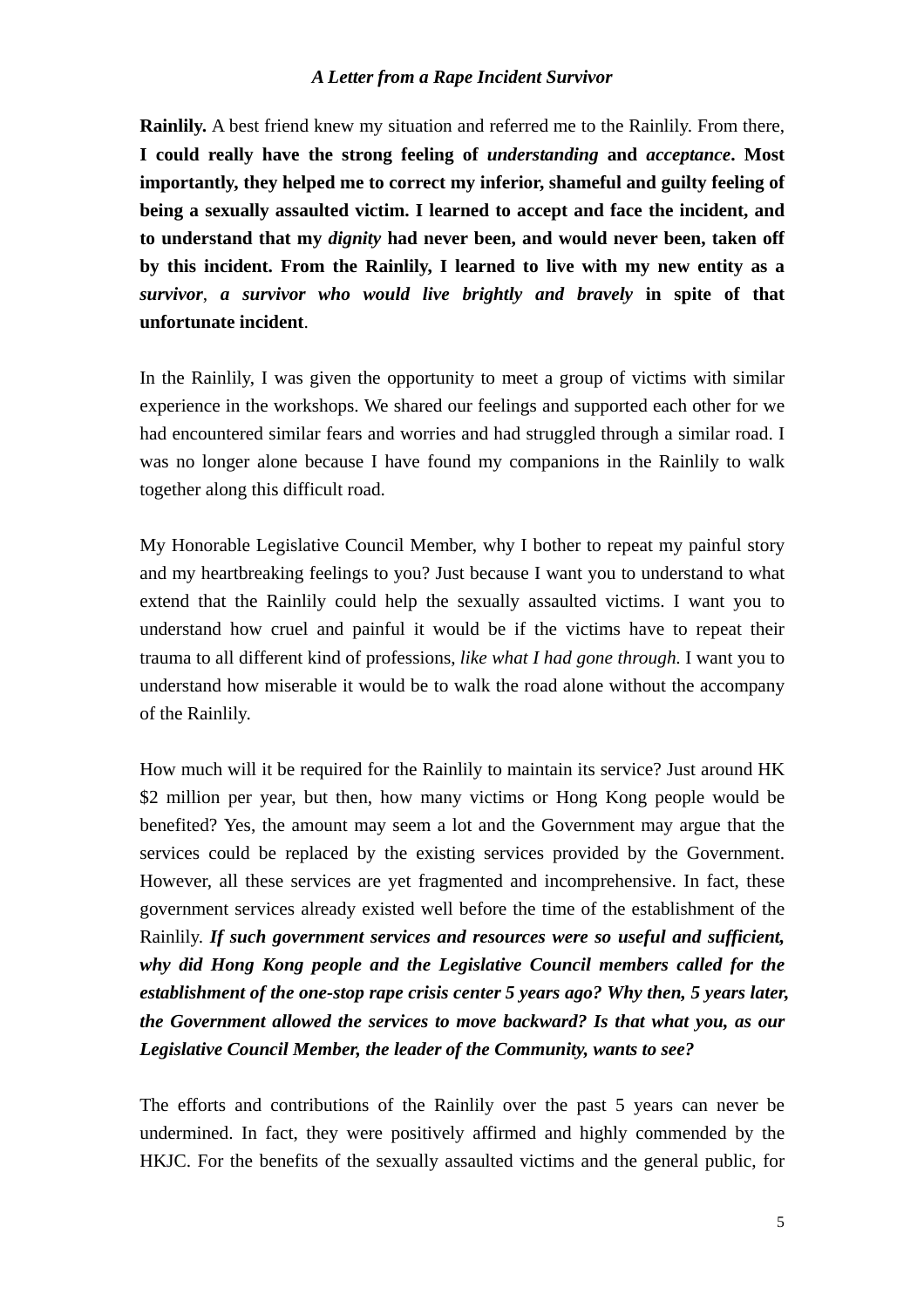**Rainlily.** A best friend knew my situation and referred me to the Rainlily. From there, **I could really have the strong feeling of** *understanding* **and** *acceptance***. Most importantly, they helped me to correct my inferior, shameful and guilty feeling of being a sexually assaulted victim. I learned to accept and face the incident, and to understand that my** *dignity* **had never been, and would never been, taken off by this incident. From the Rainlily, I learned to live with my new entity as a**  *survivor*, *a survivor who would live brightly and bravely* **in spite of that unfortunate incident**.

In the Rainlily, I was given the opportunity to meet a group of victims with similar experience in the workshops. We shared our feelings and supported each other for we had encountered similar fears and worries and had struggled through a similar road. I was no longer alone because I have found my companions in the Rainlily to walk together along this difficult road.

My Honorable Legislative Council Member, why I bother to repeat my painful story and my heartbreaking feelings to you? Just because I want you to understand to what extend that the Rainlily could help the sexually assaulted victims. I want you to understand how cruel and painful it would be if the victims have to repeat their trauma to all different kind of professions, *like what I had gone through*. I want you to understand how miserable it would be to walk the road alone without the accompany of the Rainlily.

How much will it be required for the Rainlily to maintain its service? Just around HK \$2 million per year, but then, how many victims or Hong Kong people would be benefited? Yes, the amount may seem a lot and the Government may argue that the services could be replaced by the existing services provided by the Government. However, all these services are yet fragmented and incomprehensive. In fact, these government services already existed well before the time of the establishment of the Rainlily. *If such government services and resources were so useful and sufficient, why did Hong Kong people and the Legislative Council members called for the establishment of the one-stop rape crisis center 5 years ago? Why then, 5 years later, the Government allowed the services to move backward? Is that what you, as our Legislative Council Member, the leader of the Community, wants to see?* 

The efforts and contributions of the Rainlily over the past 5 years can never be undermined. In fact, they were positively affirmed and highly commended by the HKJC. For the benefits of the sexually assaulted victims and the general public, for